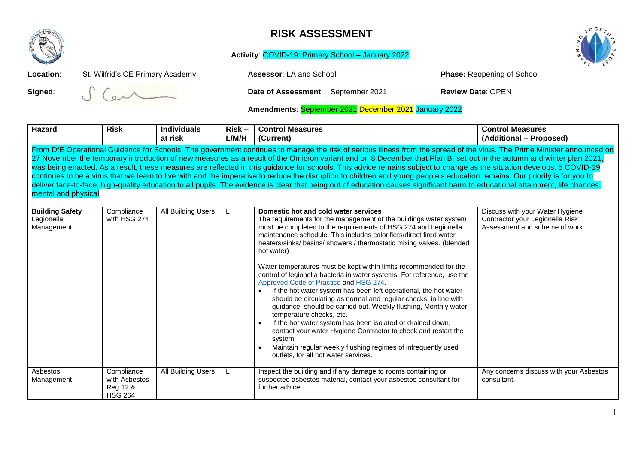

## **RISK ASSESSMENT**

**Activity**: COVID-19: Primary School – January 2022



**Location:** St. Wilfrid's CE Primary Academy **Assessor:** LA and School **Phase: Reopening of School** 

**Signed:**  $\int_{a}^{b}$   $\left(\int_{c}^{b}$  **Date of Assessment**: September 2021 **Review Date**: OPEN

**Amendments**: September 2021 December 2021 January 2022

| <b>Hazard</b>                                                                                                                                                                                                                                                                                                                                                                                                                                                                                                                                                                                                                                                                                                                                                                                                                                                                                                     | <b>Risk</b>                                               | <b>Individuals</b> | $Risk -$ | <b>Control Measures</b>                                                                                                                                                                                                                                                                                                                                                                                                                                                                                                                                                                                                                                                                                                                                                                                                                                                                                                                                                                                                       | <b>Control Measures</b>                                                                              |  |  |
|-------------------------------------------------------------------------------------------------------------------------------------------------------------------------------------------------------------------------------------------------------------------------------------------------------------------------------------------------------------------------------------------------------------------------------------------------------------------------------------------------------------------------------------------------------------------------------------------------------------------------------------------------------------------------------------------------------------------------------------------------------------------------------------------------------------------------------------------------------------------------------------------------------------------|-----------------------------------------------------------|--------------------|----------|-------------------------------------------------------------------------------------------------------------------------------------------------------------------------------------------------------------------------------------------------------------------------------------------------------------------------------------------------------------------------------------------------------------------------------------------------------------------------------------------------------------------------------------------------------------------------------------------------------------------------------------------------------------------------------------------------------------------------------------------------------------------------------------------------------------------------------------------------------------------------------------------------------------------------------------------------------------------------------------------------------------------------------|------------------------------------------------------------------------------------------------------|--|--|
|                                                                                                                                                                                                                                                                                                                                                                                                                                                                                                                                                                                                                                                                                                                                                                                                                                                                                                                   |                                                           | at risk            | L/M/H    | (Current)                                                                                                                                                                                                                                                                                                                                                                                                                                                                                                                                                                                                                                                                                                                                                                                                                                                                                                                                                                                                                     | (Additional - Proposed)                                                                              |  |  |
| From DfE Operational Guidance for Schools: The government continues to manage the risk of serious illness from the spread of the virus. The Prime Minister announced on<br>27 November the temporary introduction of new measures as a result of the Omicron variant and on 8 December that Plan B, set out in the autumn and winter plan 2021,<br>was being enacted. As a result, these measures are reflected in this guidance for schools. This advice remains subject to change as the situation develops. 5 COVID-19<br>continues to be a virus that we learn to live with and the imperative to reduce the disruption to children and young people's education remains. Our priority is for you to<br>deliver face-to-face, high-quality education to all pupils. The evidence is clear that being out of education causes significant harm to educational attainment, life chances,<br>mental and physical |                                                           |                    |          |                                                                                                                                                                                                                                                                                                                                                                                                                                                                                                                                                                                                                                                                                                                                                                                                                                                                                                                                                                                                                               |                                                                                                      |  |  |
| <b>Building Safety</b><br>Legionella<br>Management                                                                                                                                                                                                                                                                                                                                                                                                                                                                                                                                                                                                                                                                                                                                                                                                                                                                | Compliance<br>with HSG 274                                | All Building Users | L        | Domestic hot and cold water services<br>The requirements for the management of the buildings water system<br>must be completed to the requirements of HSG 274 and Legionella<br>maintenance schedule. This includes calorifiers/direct fired water<br>heaters/sinks/ basins/ showers / thermostatic mixing valves. (blended<br>hot water)<br>Water temperatures must be kept within limits recommended for the<br>control of legionella bacteria in water systems. For reference, use the<br>Approved Code of Practice and HSG 274.<br>If the hot water system has been left operational, the hot water<br>should be circulating as normal and regular checks, in line with<br>guidance, should be carried out. Weekly flushing, Monthly water<br>temperature checks, etc.<br>If the hot water system has been isolated or drained down,<br>contact your water Hygiene Contractor to check and restart the<br>system<br>Maintain regular weekly flushing regimes of infrequently used<br>outlets, for all hot water services. | Discuss with your Water Hygiene<br>Contractor your Legionella Risk<br>Assessment and scheme of work. |  |  |
| Asbestos<br>Management                                                                                                                                                                                                                                                                                                                                                                                                                                                                                                                                                                                                                                                                                                                                                                                                                                                                                            | Compliance<br>with Asbestos<br>Reg 12 &<br><b>HSG 264</b> | All Building Users | L        | Inspect the building and if any damage to rooms containing or<br>suspected asbestos material, contact your asbestos consultant for<br>further advice.                                                                                                                                                                                                                                                                                                                                                                                                                                                                                                                                                                                                                                                                                                                                                                                                                                                                         | Any concerns discuss with your Asbestos<br>consultant.                                               |  |  |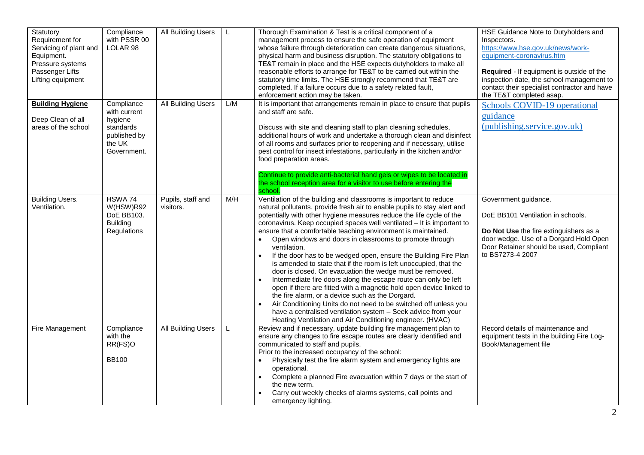| Statutory<br>Requirement for<br>Servicing of plant and<br>Equipment.<br>Pressure systems<br>Passenger Lifts<br>Lifting equipment | Compliance<br>with PSSR 00<br>LOLAR 98                                                      | <b>All Building Users</b>      | L   | Thorough Examination & Test is a critical component of a<br>management process to ensure the safe operation of equipment<br>whose failure through deterioration can create dangerous situations,<br>physical harm and business disruption. The statutory obligations to<br>TE&T remain in place and the HSE expects dutyholders to make all<br>reasonable efforts to arrange for TE&T to be carried out within the<br>statutory time limits. The HSE strongly recommend that TE&T are<br>completed. If a failure occurs due to a safety related fault,<br>enforcement action may be taken.                                                                                                                                                                                                                                                                                                                                                                                                                                                       | HSE Guidance Note to Dutyholders and<br>Inspectors.<br>https://www.hse.gov.uk/news/work-<br>equipment-coronavirus.htm<br>Required - If equipment is outside of the<br>inspection date, the school management to<br>contact their specialist contractor and have<br>the TE&T completed asap. |
|----------------------------------------------------------------------------------------------------------------------------------|---------------------------------------------------------------------------------------------|--------------------------------|-----|--------------------------------------------------------------------------------------------------------------------------------------------------------------------------------------------------------------------------------------------------------------------------------------------------------------------------------------------------------------------------------------------------------------------------------------------------------------------------------------------------------------------------------------------------------------------------------------------------------------------------------------------------------------------------------------------------------------------------------------------------------------------------------------------------------------------------------------------------------------------------------------------------------------------------------------------------------------------------------------------------------------------------------------------------|---------------------------------------------------------------------------------------------------------------------------------------------------------------------------------------------------------------------------------------------------------------------------------------------|
| <b>Building Hygiene</b><br>Deep Clean of all<br>areas of the school                                                              | Compliance<br>with current<br>hygiene<br>standards<br>published by<br>the UK<br>Government. | <b>All Building Users</b>      | L/M | It is important that arrangements remain in place to ensure that pupils<br>and staff are safe.<br>Discuss with site and cleaning staff to plan cleaning schedules,<br>additional hours of work and undertake a thorough clean and disinfect<br>of all rooms and surfaces prior to reopening and if necessary, utilise<br>pest control for insect infestations, particularly in the kitchen and/or<br>food preparation areas.<br>Continue to provide anti-bacterial hand gels or wipes to be located in<br>the school reception area for a visitor to use before entering the<br>school.                                                                                                                                                                                                                                                                                                                                                                                                                                                          | Schools COVID-19 operational<br>guidance<br>(publishing.service.gov.uk)                                                                                                                                                                                                                     |
| <b>Building Users.</b><br>Ventilation.                                                                                           | HSWA 74<br>W(HSW)R92<br>DoE BB103.<br><b>Building</b><br>Regulations                        | Pupils, staff and<br>visitors. | M/H | Ventilation of the building and classrooms is important to reduce<br>natural pollutants, provide fresh air to enable pupils to stay alert and<br>potentially with other hygiene measures reduce the life cycle of the<br>coronavirus. Keep occupied spaces well ventilated - It is important to<br>ensure that a comfortable teaching environment is maintained.<br>Open windows and doors in classrooms to promote through<br>ventilation.<br>If the door has to be wedged open, ensure the Building Fire Plan<br>is amended to state that if the room is left unoccupied, that the<br>door is closed. On evacuation the wedge must be removed.<br>Intermediate fire doors along the escape route can only be left<br>open if there are fitted with a magnetic hold open device linked to<br>the fire alarm, or a device such as the Dorgard.<br>Air Conditioning Units do not need to be switched off unless you<br>have a centralised ventilation system - Seek advice from your<br>Heating Ventilation and Air Conditioning engineer. (HVAC) | Government guidance.<br>DoE BB101 Ventilation in schools.<br>Do Not Use the fire extinguishers as a<br>door wedge. Use of a Dorgard Hold Open<br>Door Retainer should be used, Compliant<br>to BS7273-4 2007                                                                                |
| Fire Management                                                                                                                  | Compliance<br>with the<br>RR(FS)O<br><b>BB100</b>                                           | <b>All Building Users</b>      | L   | Review and if necessary, update building fire management plan to<br>ensure any changes to fire escape routes are clearly identified and<br>communicated to staff and pupils.<br>Prior to the increased occupancy of the school:<br>Physically test the fire alarm system and emergency lights are<br>operational.<br>Complete a planned Fire evacuation within 7 days or the start of<br>$\bullet$<br>the new term.<br>Carry out weekly checks of alarms systems, call points and<br>emergency lighting.                                                                                                                                                                                                                                                                                                                                                                                                                                                                                                                                         | Record details of maintenance and<br>equipment tests in the building Fire Log-<br>Book/Management file                                                                                                                                                                                      |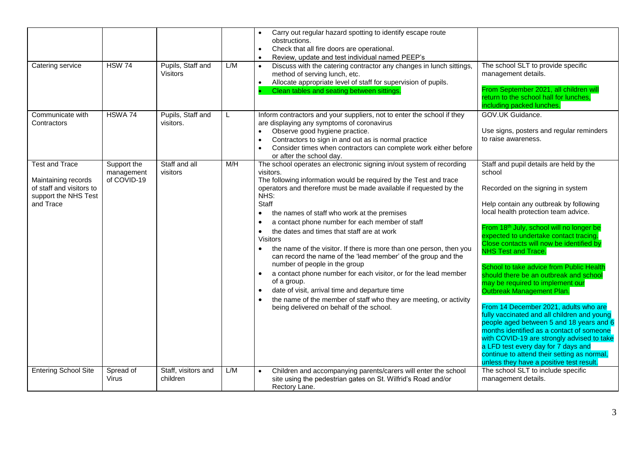| Catering service                                                                                              | <b>HSW 74</b>                            | Pupils, Staff and<br><b>Visitors</b> | L/M | Carry out regular hazard spotting to identify escape route<br>obstructions.<br>Check that all fire doors are operational.<br>$\bullet$<br>Review, update and test individual named PEEP's<br>$\bullet$<br>Discuss with the catering contractor any changes in lunch sittings,<br>method of serving lunch, etc.<br>Allocate appropriate level of staff for supervision of pupils.<br>$\bullet$<br>Clean tables and seating between sittings.                                                                                                                                                                                                                                                                                                                                                                                                                                                                                               | The school SLT to provide specific<br>management details.<br>From September 2021, all children will<br>return to the school hall for lunches,<br>including packed lunches.                                                                                                                                                                                                                                                                                                                                                                                                                                                                                                                                                                                                                                                                                       |
|---------------------------------------------------------------------------------------------------------------|------------------------------------------|--------------------------------------|-----|-------------------------------------------------------------------------------------------------------------------------------------------------------------------------------------------------------------------------------------------------------------------------------------------------------------------------------------------------------------------------------------------------------------------------------------------------------------------------------------------------------------------------------------------------------------------------------------------------------------------------------------------------------------------------------------------------------------------------------------------------------------------------------------------------------------------------------------------------------------------------------------------------------------------------------------------|------------------------------------------------------------------------------------------------------------------------------------------------------------------------------------------------------------------------------------------------------------------------------------------------------------------------------------------------------------------------------------------------------------------------------------------------------------------------------------------------------------------------------------------------------------------------------------------------------------------------------------------------------------------------------------------------------------------------------------------------------------------------------------------------------------------------------------------------------------------|
| Communicate with<br>Contractors                                                                               | HSWA 74                                  | Pupils, Staff and<br>visitors.       | L   | Inform contractors and your suppliers, not to enter the school if they<br>are displaying any symptoms of coronavirus<br>Observe good hygiene practice.<br>$\bullet$<br>Contractors to sign in and out as is normal practice<br>$\bullet$<br>Consider times when contractors can complete work either before<br>$\bullet$<br>or after the school day.                                                                                                                                                                                                                                                                                                                                                                                                                                                                                                                                                                                      | GOV.UK Guidance.<br>Use signs, posters and regular reminders<br>to raise awareness.                                                                                                                                                                                                                                                                                                                                                                                                                                                                                                                                                                                                                                                                                                                                                                              |
| <b>Test and Trace</b><br>Maintaining records<br>of staff and visitors to<br>support the NHS Test<br>and Trace | Support the<br>management<br>of COVID-19 | Staff and all<br>visitors            | M/H | The school operates an electronic signing in/out system of recording<br>visitors.<br>The following information would be required by the Test and trace<br>operators and therefore must be made available if requested by the<br>NHS:<br>Staff<br>the names of staff who work at the premises<br>$\bullet$<br>a contact phone number for each member of staff<br>$\bullet$<br>the dates and times that staff are at work<br>$\bullet$<br><b>Visitors</b><br>the name of the visitor. If there is more than one person, then you<br>$\bullet$<br>can record the name of the 'lead member' of the group and the<br>number of people in the group<br>a contact phone number for each visitor, or for the lead member<br>$\bullet$<br>of a group.<br>date of visit, arrival time and departure time<br>$\bullet$<br>the name of the member of staff who they are meeting, or activity<br>$\bullet$<br>being delivered on behalf of the school. | Staff and pupil details are held by the<br>school<br>Recorded on the signing in system<br>Help contain any outbreak by following<br>local health protection team advice.<br>From 18th July, school will no longer be<br>expected to undertake contact tracing.<br>Close contacts will now be identified by<br><b>NHS Test and Trace.</b><br>School to take advice from Public Health<br>should there be an outbreak and school<br>may be required to implement our<br>Outbreak Management Plan.<br>From 14 December 2021, adults who are<br>fully vaccinated and all children and young<br>people aged between 5 and 18 years and 6<br>months identified as a contact of someone<br>with COVID-19 are strongly advised to take<br>a LFD test every day for 7 days and<br>continue to attend their setting as normal,<br>unless they have a positive test result. |
| <b>Entering School Site</b>                                                                                   | Spread of<br>Virus                       | Staff, visitors and<br>children      | L/M | Children and accompanying parents/carers will enter the school<br>site using the pedestrian gates on St. Wilfrid's Road and/or<br>Rectory Lane.                                                                                                                                                                                                                                                                                                                                                                                                                                                                                                                                                                                                                                                                                                                                                                                           | The school SLT to include specific<br>management details.                                                                                                                                                                                                                                                                                                                                                                                                                                                                                                                                                                                                                                                                                                                                                                                                        |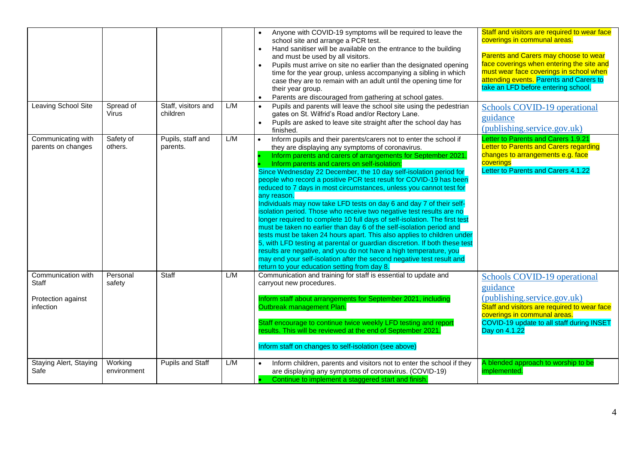| Leaving School Site                                            | Spread of<br><b>Virus</b> | Staff, visitors and<br>children | L/M | Anyone with COVID-19 symptoms will be required to leave the<br>school site and arrange a PCR test.<br>Hand sanitiser will be available on the entrance to the building<br>$\bullet$<br>and must be used by all visitors.<br>Pupils must arrive on site no earlier than the designated opening<br>$\bullet$<br>time for the year group, unless accompanying a sibling in which<br>case they are to remain with an adult until the opening time for<br>their year group.<br>Parents are discouraged from gathering at school gates.<br>Pupils and parents will leave the school site using the pedestrian<br>gates on St. Wilfrid's Road and/or Rectory Lane.<br>Pupils are asked to leave site straight after the school day has<br>$\bullet$<br>finished.                                                                                                                                                                                                                                                                                                                                                                            | Staff and visitors are required to wear face<br>coverings in communal areas.<br>Parents and Carers may choose to wear<br>face coverings when entering the site and<br>must wear face coverings in school when<br>attending events. Parents and Carers to<br>take an LFD before entering school.<br>Schools COVID-19 operational<br>guidance<br>(publishing.service.gov.uk) |
|----------------------------------------------------------------|---------------------------|---------------------------------|-----|--------------------------------------------------------------------------------------------------------------------------------------------------------------------------------------------------------------------------------------------------------------------------------------------------------------------------------------------------------------------------------------------------------------------------------------------------------------------------------------------------------------------------------------------------------------------------------------------------------------------------------------------------------------------------------------------------------------------------------------------------------------------------------------------------------------------------------------------------------------------------------------------------------------------------------------------------------------------------------------------------------------------------------------------------------------------------------------------------------------------------------------|----------------------------------------------------------------------------------------------------------------------------------------------------------------------------------------------------------------------------------------------------------------------------------------------------------------------------------------------------------------------------|
| Communicating with<br>parents on changes                       | Safety of<br>others.      | Pupils, staff and<br>parents.   | L/M | Inform pupils and their parents/carers not to enter the school if<br>they are displaying any symptoms of coronavirus.<br>Inform parents and carers of arrangements for September 2021.<br>Inform parents and carers on self-isolation:<br>Since Wednesday 22 December, the 10 day self-isolation period for<br>people who record a positive PCR test result for COVID-19 has been<br>reduced to 7 days in most circumstances, unless you cannot test for<br>any reason.<br>Individuals may now take LFD tests on day 6 and day 7 of their self-<br>isolation period. Those who receive two negative test results are no<br>longer required to complete 10 full days of self-isolation. The first test<br>must be taken no earlier than day 6 of the self-isolation period and<br>tests must be taken 24 hours apart. This also applies to children under<br>5, with LFD testing at parental or guardian discretion. If both these test<br>results are negative, and you do not have a high temperature, you<br>may end your self-isolation after the second negative test result and<br>return to your education setting from day 8. | Letter to Parents and Carers 1.9.21<br>Letter to Parents and Carers regarding<br>changes to arrangements e.g. face<br>coverings<br>Letter to Parents and Carers 4.1.22                                                                                                                                                                                                     |
| Communication with<br>Staff<br>Protection against<br>infection | Personal<br>safety        | Staff                           | L/M | Communication and training for staff is essential to update and<br>carryout new procedures.<br>Inform staff about arrangements for September 2021, including<br>Outbreak management Plan.<br>Staff encourage to continue twice weekly LFD testing and report<br>results. This will be reviewed at the end of September 2021.<br>Inform staff on changes to self-isolation (see above)                                                                                                                                                                                                                                                                                                                                                                                                                                                                                                                                                                                                                                                                                                                                                | Schools COVID-19 operational<br>guidance<br>(publishing.service.gov.uk)<br>Staff and visitors are required to wear face<br>coverings in communal areas.<br>COVID-19 update to all staff during INSET<br>Day on 4.1.22                                                                                                                                                      |
| Staying Alert, Staying<br>Safe                                 | Working<br>environment    | Pupils and Staff                | L/M | Inform children, parents and visitors not to enter the school if they<br>$\bullet$<br>are displaying any symptoms of coronavirus. (COVID-19)<br>Continue to implement a staggered start and finish.                                                                                                                                                                                                                                                                                                                                                                                                                                                                                                                                                                                                                                                                                                                                                                                                                                                                                                                                  | A blended approach to worship to be<br>implemented.                                                                                                                                                                                                                                                                                                                        |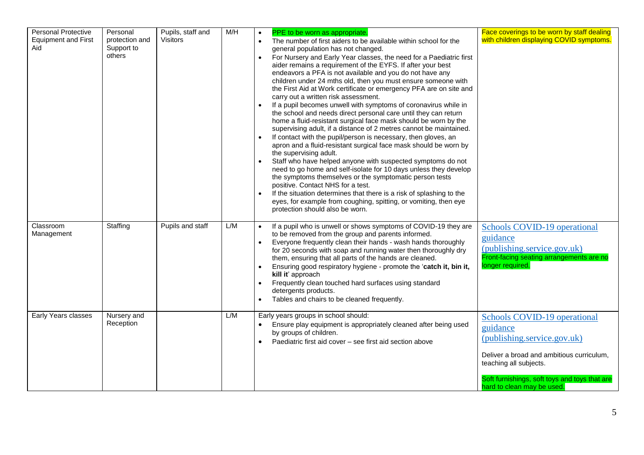| <b>Personal Protective</b><br><b>Equipment and First</b><br>Aid | Personal<br>protection and<br>Support to<br>others | Pupils, staff and<br>Visitors | M/H | PPE to be worn as appropriate.<br>The number of first aiders to be available within school for the<br>$\bullet$<br>general population has not changed.<br>For Nursery and Early Year classes, the need for a Paediatric first<br>aider remains a requirement of the EYFS. If after your best<br>endeavors a PFA is not available and you do not have any<br>children under 24 mths old, then you must ensure someone with<br>the First Aid at Work certificate or emergency PFA are on site and<br>carry out a written risk assessment.<br>If a pupil becomes unwell with symptoms of coronavirus while in<br>$\bullet$<br>the school and needs direct personal care until they can return<br>home a fluid-resistant surgical face mask should be worn by the<br>supervising adult, if a distance of 2 metres cannot be maintained.<br>If contact with the pupil/person is necessary, then gloves, an<br>apron and a fluid-resistant surgical face mask should be worn by<br>the supervising adult.<br>Staff who have helped anyone with suspected symptoms do not<br>need to go home and self-isolate for 10 days unless they develop<br>the symptoms themselves or the symptomatic person tests<br>positive. Contact NHS for a test.<br>If the situation determines that there is a risk of splashing to the<br>eyes, for example from coughing, spitting, or vomiting, then eye<br>protection should also be worn. | Face coverings to be worn by staff dealing<br>with children displaying COVID symptoms.                                                                                                                                        |
|-----------------------------------------------------------------|----------------------------------------------------|-------------------------------|-----|-----------------------------------------------------------------------------------------------------------------------------------------------------------------------------------------------------------------------------------------------------------------------------------------------------------------------------------------------------------------------------------------------------------------------------------------------------------------------------------------------------------------------------------------------------------------------------------------------------------------------------------------------------------------------------------------------------------------------------------------------------------------------------------------------------------------------------------------------------------------------------------------------------------------------------------------------------------------------------------------------------------------------------------------------------------------------------------------------------------------------------------------------------------------------------------------------------------------------------------------------------------------------------------------------------------------------------------------------------------------------------------------------------------------------|-------------------------------------------------------------------------------------------------------------------------------------------------------------------------------------------------------------------------------|
| Classroom<br>Management                                         | Staffing                                           | Pupils and staff              | L/M | If a pupil who is unwell or shows symptoms of COVID-19 they are<br>to be removed from the group and parents informed.<br>Everyone frequently clean their hands - wash hands thoroughly<br>$\bullet$<br>for 20 seconds with soap and running water then thoroughly dry<br>them, ensuring that all parts of the hands are cleaned.<br>Ensuring good respiratory hygiene - promote the 'catch it, bin it,<br>$\bullet$<br>kill it' approach<br>Frequently clean touched hard surfaces using standard<br>$\bullet$<br>detergents products.<br>Tables and chairs to be cleaned frequently.<br>$\bullet$                                                                                                                                                                                                                                                                                                                                                                                                                                                                                                                                                                                                                                                                                                                                                                                                                    | Schools COVID-19 operational<br>guidance<br>(publishing.service.gov.uk)<br>Front-facing seating arrangements are no<br>longer required.                                                                                       |
| Early Years classes                                             | Nursery and<br>Reception                           |                               | L/M | Early years groups in school should:<br>Ensure play equipment is appropriately cleaned after being used<br>by groups of children.<br>Paediatric first aid cover - see first aid section above                                                                                                                                                                                                                                                                                                                                                                                                                                                                                                                                                                                                                                                                                                                                                                                                                                                                                                                                                                                                                                                                                                                                                                                                                         | Schools COVID-19 operational<br>guidance<br>(publishing.service.gov.uk)<br>Deliver a broad and ambitious curriculum,<br>teaching all subjects.<br>Soft furnishings, soft toys and toys that are<br>hard to clean may be used. |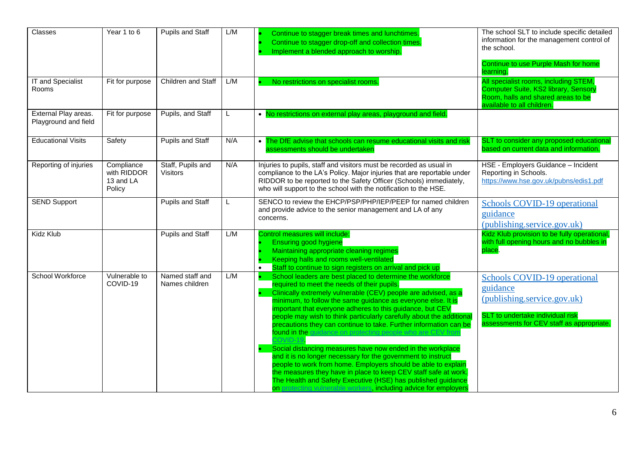| Classes                                      | Year 1 to 6                                      | Pupils and Staff                     | L/M | Continue to stagger break times and lunchtimes.<br>Continue to stagger drop-off and collection times.<br>Implement a blended approach to worship.                                                                                                                                                                                                                                                                                                                                                                                                                                                                                                                                                                                                                                                                                                                                                                        | The school SLT to include specific detailed<br>information for the management control of<br>the school.<br>Continue to use Purple Mash for home<br>learning. |
|----------------------------------------------|--------------------------------------------------|--------------------------------------|-----|--------------------------------------------------------------------------------------------------------------------------------------------------------------------------------------------------------------------------------------------------------------------------------------------------------------------------------------------------------------------------------------------------------------------------------------------------------------------------------------------------------------------------------------------------------------------------------------------------------------------------------------------------------------------------------------------------------------------------------------------------------------------------------------------------------------------------------------------------------------------------------------------------------------------------|--------------------------------------------------------------------------------------------------------------------------------------------------------------|
| IT and Specialist<br>Rooms                   | Fit for purpose                                  | Children and Staff                   | L/M | No restrictions on specialist rooms.                                                                                                                                                                                                                                                                                                                                                                                                                                                                                                                                                                                                                                                                                                                                                                                                                                                                                     | All specialist rooms, including STEM,<br>Computer Suite, KS2 library, Sensory<br>Room, halls and shared areas to be<br>available to all children.            |
| External Play areas.<br>Playground and field | Fit for purpose                                  | Pupils, and Staff                    | L   | . No restrictions on external play areas, playground and field.                                                                                                                                                                                                                                                                                                                                                                                                                                                                                                                                                                                                                                                                                                                                                                                                                                                          |                                                                                                                                                              |
| <b>Educational Visits</b>                    | Safety                                           | Pupils and Staff                     | N/A | • The DfE advise that schools can resume educational visits and risk<br>assessments should be undertaken                                                                                                                                                                                                                                                                                                                                                                                                                                                                                                                                                                                                                                                                                                                                                                                                                 | SLT to consider any proposed educational<br>based on current data and information.                                                                           |
| Reporting of injuries                        | Compliance<br>with RIDDOR<br>13 and LA<br>Policy | Staff, Pupils and<br><b>Visitors</b> | N/A | Injuries to pupils, staff and visitors must be recorded as usual in<br>compliance to the LA's Policy. Major injuries that are reportable under<br>RIDDOR to be reported to the Safety Officer (Schools) immediately,<br>who will support to the school with the notification to the HSE.                                                                                                                                                                                                                                                                                                                                                                                                                                                                                                                                                                                                                                 | HSE - Employers Guidance - Incident<br>Reporting in Schools.<br>https://www.hse.gov.uk/pubns/edis1.pdf                                                       |
| <b>SEND Support</b>                          |                                                  | <b>Pupils and Staff</b>              |     | SENCO to review the EHCP/PSP/PHP/IEP/PEEP for named children<br>and provide advice to the senior management and LA of any<br>concerns.                                                                                                                                                                                                                                                                                                                                                                                                                                                                                                                                                                                                                                                                                                                                                                                   | Schools COVID-19 operational<br>guidance<br>(publishing.service.gov.uk)                                                                                      |
| Kidz Klub                                    |                                                  | <b>Pupils and Staff</b>              | L/M | Control measures will include:<br><b>Ensuring good hygiene</b><br>Maintaining appropriate cleaning regimes<br>Keeping halls and rooms well-ventilated<br>Staff to continue to sign registers on arrival and pick up                                                                                                                                                                                                                                                                                                                                                                                                                                                                                                                                                                                                                                                                                                      | Kidz Klub provision to be fully operational,<br>with full opening hours and no bubbles in<br>place.                                                          |
| School Workforce                             | Vulnerable to<br>COVID-19                        | Named staff and<br>Names children    | L/M | School leaders are best placed to determine the workforce<br>required to meet the needs of their pupils.<br>Clinically extremely vulnerable (CEV) people are advised, as a<br>minimum, to follow the same guidance as everyone else. It is<br>important that everyone adheres to this guidance, but CEV<br>people may wish to think particularly carefully about the additiona<br>precautions they can continue to take. Further information can be<br>found in the guidance on protecting people who are CEV from<br>Social distancing measures have now ended in the workplace<br>and it is no longer necessary for the government to instruct<br>people to work from home. Employers should be able to explain<br>the measures they have in place to keep CEV staff safe at work.<br>The Health and Safety Executive (HSE) has published guidance<br>on protecting vulnerable workers, including advice for employers | Schools COVID-19 operational<br>guidance<br>(publishing.service.gov.uk)<br>SLT to undertake individual risk<br>assessments for CEV staff as appropriate.     |